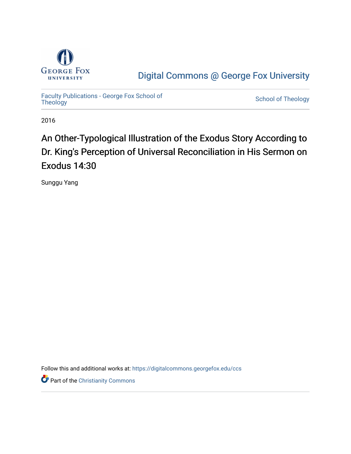

[Digital Commons @ George Fox University](https://digitalcommons.georgefox.edu/) 

[Faculty Publications - George Fox School of](https://digitalcommons.georgefox.edu/ccs) 

School of [Theology](https://digitalcommons.georgefox.edu/ccs)

2016

# An Other-Typological Illustration of the Exodus Story According to Dr. King's Perception of Universal Reconciliation in His Sermon on Exodus 14:30

Sunggu Yang

Follow this and additional works at: [https://digitalcommons.georgefox.edu/ccs](https://digitalcommons.georgefox.edu/ccs?utm_source=digitalcommons.georgefox.edu%2Fccs%2F402&utm_medium=PDF&utm_campaign=PDFCoverPages) 

**Part of the Christianity Commons**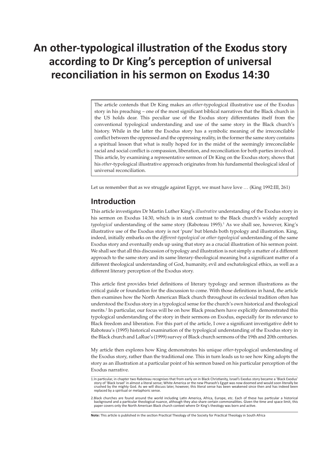# **An other-typological illustration of the Exodus story according to Dr King's perception of universal reconciliation in his sermon on Exodus 14:3[0](http://crossmark.crossref.org/dialog/?doi=10.4102/htts.v72i2.3253=pdf&date_stamp=2016-11-24)**

The article contends that Dr King makes an *other*-typological illustrative use of the Exodus story in his preaching – one of the most significant biblical narratives that the Black church in the US holds dear. This peculiar use of the Exodus story differentiates itself from the conventional typological understanding and use of the same story in the Black church's history. While in the latter the Exodus story has a symbolic meaning of the irreconcilable conflict between the oppressed and the oppressing reality, in the former the same story contains a spiritual lesson that what is really hoped for in the midst of the seemingly irreconcilable racial and social conflict is compassion, liberation, and reconciliation for both parties involved. This article, by examining a representative sermon of Dr King on the Exodus story, shows that his *other*-typological illustrative approach originates from his fundamental theological ideal of universal reconciliation.

Let us remember that as we struggle against Egypt, we must have love *…* (King 1992:III, 261)

#### **Introduction**

This article investigates Dr Martin Luther King's *illustrative* understanding of the Exodus story in his sermon on Exodus 14:30, which is in stark contrast to the Black church's widely accepted *typological* understanding of the same story (Raboteau 1995).<sup>1</sup> As we shall see, however, King's illustrative use of the Exodus story is not 'pure' but blends both typology and illustration. King, indeed, initially embarks on the *different-typological* or *other-typological* understanding of the same Exodus story and eventually ends up using that story as a crucial illustration of his sermon point. We shall see that all this discussion of typology and illustration is not simply a matter of a different approach to the same story and its same literary-theological meaning but a significant matter of a different theological understanding of God, humanity, evil and eschatological ethics, as well as a different literary perception of the Exodus story.

This article first provides brief definitions of literary typology and sermon illustrations as the critical guide or foundation for the discussion to come. With those definitions in hand, the article then examines how the North American Black church throughout its ecclesial tradition often has understood the Exodus story in a typological sense for the church's own historical and theological merits.2 In particular, our focus will be on how Black preachers have explicitly demonstrated this typological understanding of the story in their sermons on Exodus, especially for its relevance to Black freedom and liberation. For this part of the article, I owe a significant investigative debt to Raboteau's (1995) historical examination of the typological understanding of the Exodus story in the Black church and LaRue's (1999) survey of Black church sermons of the 19th and 20th centuries.

My article then explores how King demonstrates his unique *other*-typological understanding of the Exodus story, rather than the traditional one. This in turn leads us to see how King adopts the story as an illustration at a particular point of his sermon based on his particular perception of the Exodus narrative.

**Note:** This article is published in the section Practical Theology of the Society for Practical Theology in South Africa

<sup>1.</sup>In particular, in chapter two Raboteau recognises that from early on in Black Christianity, Israel's Exodus story became a 'Black Exodus'<br>story of 'Black Israel' in almost a literal sense; White America or the new Pharao crushed by the mighty God. As we will discuss later, however, this literal sense has been weakened since then and has indeed been replaced by a spiritual or metaphoric sense.

<sup>2.</sup>Black churches are found around the world including Latin America, Africa, Europe, etc. Each of these has particular a historical background and a particular theological nuance, although they also share certain commonalities. Given the time and space limit, this<br>paper covers only the North American Black church context where Dr King's theology was bo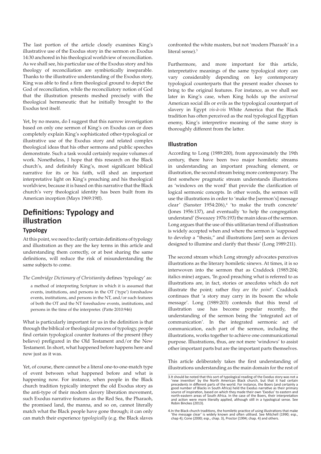The last portion of the article closely examines King's illustrative use of the Exodus story in the sermon on Exodus 14:30 anchored in his theological worldview of reconciliation. As we shall see, his particular use of the Exodus story and his theology of reconciliation are symbiotically inseparable. Thanks to the illustrative understanding of the Exodus story, King was able to find a firm theological ground to depict the God of reconciliation, while the reconciliatory notion of God that the illustration presents meshed precisely with the theological hermeneutic that he initially brought to the Exodus text itself.

Yet, by no means, do I suggest that this narrow investigation based on only one sermon of King's on Exodus can or does completely explain King's sophisticated other-typological or illustrative use of the Exodus story and related complex theological ideas that his other sermons and public speeches demonstrate. Such a task would certainly require volumes of work. Nonetheless, I hope that this research on the Black church's, and definitely King's, most significant biblical narrative for its or his faith, will shed an important interpretative light on King's preaching and his theological worldview, because it is based on this narrative that the Black church's very theological identity has been built from its American inception (Mays 1969:19ff).

## **Definitions: Typology and illustration**

#### **Typology**

At this point, we need to clarify certain definitions of typology and illustration as they are the key terms in this article and understanding them correctly, or at best sharing the same definitions, will reduce the risk of misunderstanding the same subjects to come.

*The Cambridge Dictionary of Christianity* defines 'typology' as:

a method of interpreting Scripture in which it is assumed that events, institutions, and persons in the OT ('type') foreshadow events, institutions, and persons in the NT, and/or such features of both the OT and the NT foreshadow events, institutions, and persons in the time of the interpreter. (Patte 2010:946)

What is particularly important for us in the definition is that through the biblical or theological process of typology, people find certain typological counter features of the present (they believe) prefigured in the Old Testament and/or the New Testament. In short, what happened before happens here and now just as it was.

Yet, of course, there cannot be a literal one-to-one-match type of event between what happened before and what is happening now. For instance, when people in the Black church tradition typically interpret the old Exodus story as the anti-type of their modern slavery liberation movement, such Exodus narrative features as the Red Sea, the Pharaoh, the promised land, the manna, and so on, cannot literally match what the Black people have gone through; it can only can match their experience *typologically* (e.g. the Black slaves

confronted the white masters, but not 'modern Pharaoh' in a literal sense).3

Furthermore, and more important for this article, interpretative meanings of the same typological story can vary considerably depending on key contemporary typological counterparts that the present reader chooses to bring to the original features. For instance, as we shall see later in King's case, when King holds up the *universal*  American social ills or evils as the typological counterpart of slavery in Egypt *vis-à-vis* White America that the Black tradition has often perceived as the real typological Egyptian enemy, King's interpretive meaning of the same story is thoroughly different from the latter.

#### **Illustration**

According to Long (1989:200), from approximately the 19th century, there have been two major homiletic streams in understanding an important preaching element, or illustration, the second stream being more contemporary. The first somehow pragmatic stream understands illustrations as 'windows on the word' that provide the clarification of logical sermonic concepts. In other words, the sermon will use the illustrations in order to 'make the [sermon's] message clear' (Sanster  $1954:206$ ),<sup>4</sup> 'to make the truth concrete' (Jones 1956:137), and eventually 'to help the congregation understand' (Sweazey 1976:193) the main ideas of the sermon. Long argues that the use of this utilitarian trend of illustration is widely accepted when and where the sermon is 'supposed to develop a "thesis," and illustrations [are] seen as devices designed to illumine and clarify that thesis' (Long 1989:211).

The second stream which Long strongly advocates perceives illustrations as the literary homiletic sinews. At times, it is so interwoven into the sermon that as Craddock (1985:204; italics mine) argues, 'In good preaching what is referred to as illustrations are, in fact, stories or anecdotes which do not illustrate the point; rather *they are the point*'. Craddock continues that 'a story may carry in its bosom the whole message'. Long (1989:203) contends that this trend of illustration use has become popular recently, the understanding of the sermon being the 'integrated act of communication'. In the integrated sermonic act of communication, each part of the sermon, including the illustrations, works together to achieve one communicational purpose. Illustrations, thus, are not mere 'windows' to assist other important parts but are the important parts themselves.

This article deliberately takes the first understanding of illustrations understanding as the main domain for the rest of

<sup>3.</sup>It should be noted that this sort of typological reading of the Exodus story was not a 'new invention' by the North American Black church, but that it had certain precedents in different parts of the world. For instance, the Boers (and certainly a good number of Blacks in South Africa) held the Exodus narrative as their primary source of inspiration, based on which they made their own 'Exodus' to eastern and north-eastern areas of South Africa. In the case of the Boers, their interpretation and action were more literally applied, although still in a typological sense. See Robin Binckes (2013).

<sup>4.</sup>In the Black church traditions, the homiletic practice of using illustrations that make 'the message clear' is widely known and often utilised. See Mitchell (1990; esp., chap 4); Cone (2000; esp., chap. 3), Proctor (1994; chap. 4) and others.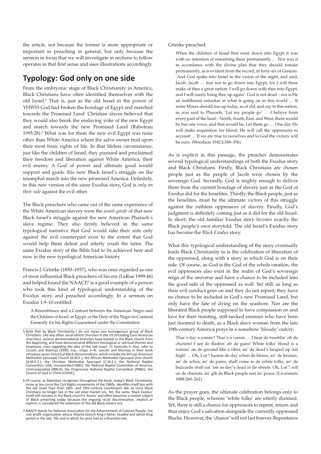the article, not because the former is more appropriate or important in preaching in general, but only because the sermon in focus that we will investigate in sections to follow operates in that first sense and uses illustrations accordingly.

#### **Typology: God only on one side**

From the embryonic stage of Black Christianity in America, Black Christians have often identified themselves with the old Israel.5 That is, just as the old Israel in the power of YHWH-God had broken the bondage of Egypt and marched towards the Promised Land. Christian slaves believed that they would also break the enslaving yoke of the new Egypt and march towards the new Promised Land (Raboteau 1995:28).<sup>6</sup> What was for them the new evil Egypt was none other than White America where the salve owner trod upon their most basic rights of life. In that lifeless circumstance, just like the children of Israel, they pursued and proclaimed their freedom and liberation against White America, their evil enemy. A God of power and ultimate good would support and guide this new Black Israel's struggle on the triumphal march into the new promised America. Definitely, in this new version of the same Exodus story, God is *only on their side* against the evil other.

The Black preachers who came out of the same experience of the White American slavery were the *avant-garde* of that new Black Israel's struggle against the new American Pharaoh's slave regime. They also firmly believed in the same typological narrative that God would take their side only against the evil counterpart even to the extent that God would help them defeat and utterly crush the latter. The same Exodus story of the Bible had to be achieved here and now in the new typological American history.

Francis J. Grimke (1850–1937), who was once regarded as one of most influential Black preachers of his era (LaRue 1999:46) and helped found the  $NAACP<sub>i</sub><sup>7</sup>$  is a good example of a person who took this kind of typological understanding of the Exodus story and preached accordingly. In a sermon on Exodus 1:9–10 entitled:

A Resemblance and a Contrast between the American Negro and the Children of Israel, in Egypt, or the Duty of the Negro to Contend Earnestly for his Rights Guaranteed under the Constitution

Grimke preached:

When the children of Israel first went down into Egypt it was with no intention of remaining there permanently … Nor was it in accordance with the divine plan that they should remain permanently, as is evident from the record, in forty-six of Genesis. 'And God spake into Israel in the vision of the night, and said, Jacob, Jacob … fear not to go down into Egypt, for I will there make of thee a great nation: I will go down with thee into Egypt, and I will surely bring thee up again'. God is not dead – nor is He an indifferent onlooker at what is going on in this world … If some Moses should rise up today, as of old, and say to this nation, as was said to Pharaoh, 'Let my people go' … I believe from every part of the land – North, South, East, and West, there would be but one voice, and that would be, Let them go … One day He will make requisition for blood; He will call the oppressors to account … If we are true to ourselves and to God the victory will be ours. (Woodson 1942:I;348–356)

As is explicit in this passage, the preacher demonstrates several typological understandings of both the Exodus story and Black Christians. Firstly, Black Christians are chosen people just as the people of Jacob were chosen by the sovereign God. Secondly, God is mighty enough to deliver them from the current bondage of slavery just as the God of Exodus did for the Israelites. Thirdly, the Black people, just as the Israelites, must be the ultimate victors of this struggle against the ruthless oppressors of slavery. Finally, God's judgment is definitely coming just as it did for the old Israel. In short, the old familiar Exodus story *becomes* exactly the Black people's own storytold. The old Israel's Exodus story has become the *Black Exodus* story.

What this typological understanding of the story eventually leads Black Christianity to is the celebration of liberation of the oppressed, along with a story in which God is on their side. Of course, as God is the God of the whole creation, the evil oppressors also exist in the realm of God's sovereign reign of the universe and have a chance to be included into the good side of the oppressed as well. Yet still, as long as their evil conduct goes on and they do not repent, they have no chance to be included in God's new Promised Land, but only have the fate of dying on the seashore. Nor are the liberated Black people supposed to have compassion on and love for their resisting, stiff-necked enemies who have been just doomed to death, as a Black slave woman from the late 19th-century America prays in a somehow 'bloody' outcry:

Thar's day a comin'! Thar's a comin … I hear de rumblin' ob de chariots! I see de flashin' ob de guns! White folks' blood is a runnin' on de ground like a riber, an' de dead's heaped up dat high! … Oh, Lor'! hasten de day when de blows, an' de bruises, an' de aches, an' de pains, shall come to de white folks, an' de buzzards shall eat 'em as dey's dead in de streets. Oh, Lor'! roll on de chariots, an' gib de Black people rest an' peace. (Livermore 1888:260–261)

As the prayer goes, the ultimate celebration belongs only to the Black people, whereas 'white folks' are utterly doomed. Yet, there is still a chance for oppressors to repent, return and thus enjoy God's salvation alongside the currently oppressed Blacks. However, the 'chance' will not last forever. Repentance

<sup>5.</sup>Note that by Black Christianity I do not mean one homogenous group of Black Christians. Like any other racial-ethnic churches in the US (including Euro-American churches), various denominational branches have existed in the Black church from the beginning, and have demonstrated different theological or spiritual themes and emphases, even regarding the idea of the 'old Israel'. Cf. footnote 9. Also, refer to Lincoln and Mamiya (1990; esp., chaps 2–4). Lincoln and Mamiya in their book introduce seven historical Black denominations, which include the African American Methodist Episcopal Church (A.M.E.), the African Methodist Episcopal Zion church<br>(A.M.E.Z.), the Christian Methodist Episcopal (C.M.E.), the National Baptist<br>Convention, USA, Incorporated (NBC), the National Baptist Conven Unincorporated (NBCA), the Progressive National Baptist Convention (PNBC), the Church of God in Christ (COGIC).

<sup>6.</sup>Of course, as Raboteau recognises throughout the book, today's Black Christianity, more or less since the Civil Rights movements of the 1960s, identifies itself less with the old Israel than their 18th- and 19th-century motif still remains in the Black church's 'bones' and often becomes a central subject of Black preaching today because the ongoing racial discrimination, implicit or explicit, is considered the extension of the old Black slavery era.

<sup>7.</sup>NAACP stands for National Association for the Advancement of Colored People, the non-profit organisation whose Atlanta branch King's father headed and which King joined in the late '50s and in which he once had an influential role.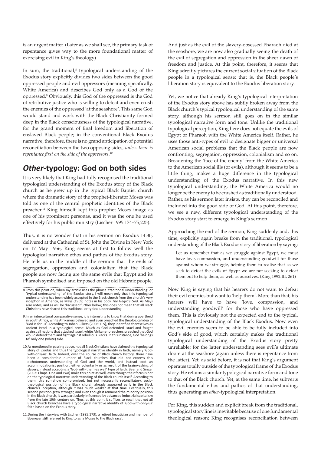is an urgent matter. (Later as we shall see, the primary task of repentance gives way to the more foundational matter of exorcising evil in King's theology).

In sum, the traditional,<sup>8</sup> typological understanding of the Exodus story explicitly divides two sides between the good oppressed people and evil oppressors (meaning specifically, White America) and describes God only as a God of the oppressed.9 Obviously, this God of the oppressed is the God of retributive justice who is willing to defeat and even crush the enemies of the oppressed 'at the seashore'. This same God would stand and work with the Black Christianity formed deep in the Black consciousness of the typological narrative, for the grand moment of final freedom and liberation of enslaved Black people; in the conventional Black Exodus narrative, therefore, there is no grand anticipation of potential reconciliation between the two opposing sides, *unless there is repentance first on the side of the oppressors*. 10

### *Other***-typology: God on both sides**

It is very likely that King had fully recognised the traditional typological understanding of the Exodus story of the Black church as he grew up in the typical Black Baptist church where the dramatic story of the prophet-liberator Moses was told as one of the central prophetic identities of the Black preacher.11 King himself kept this prophet-Moses image as one of his prominent personas, and it was the one he used effectively for his public ministry (Lischer 1995:174–75;225).

Thus, it is no wonder that in his sermon on Exodus 14:30, delivered at the Cathedral of St. John the Divine in New York on 17 May 1956, King seems at first to follow well the typological narrative ethos and pathos of the Exodus story. He tells us in the middle of the sermon that the evils of segregation, oppression and colonialism that the Black people are now facing are the same evils that Egypt and its Pharaoh symbolised and imposed on the old Hebraic people.

And just as the evil of the slavery-obsessed Pharaoh died at the seashore, we are now also gradually seeing the death of the evil of segregation and oppression in the sheer dawn of freedom and justice. At this point, therefore, it seems that King adroitly pictures the current social situation of the Black people in a typological sense; that is, the Black people's liberation story is equivalent to the Exodus liberation story.

Yet, we notice that already King's typological interpretation of the Exodus story above has subtly broken away from the Black church's typical typological understanding of the same story, although his sermon still goes on in the similar typological narrative form and tone. Unlike the traditional typological perception, King here does not equate the evils of Egypt or Pharaoh with the White America itself. Rather, he uses those anti-types of evil to designate bigger or universal American social problems that the Black people are now confronting; segregation, oppression, colonialism and so on. Broadening the 'face of the enemy' from the White America to the American social ills (or evils), although it seems to be a little thing, makes a huge difference in the typological understanding of the Exodus narrative. In this new typological understanding, the White America would no longer be the enemy to be crushed as traditionally understood. Rather, as his sermon later insists, they can be reconciled and included into the good side of God. At this point, therefore, we see a new, different typological understanding of the Exodus story start to emerge in King's sermon.

Approaching the end of the sermon, King suddenly and, this time, explicitly again breaks from the traditional, typological understanding of the Black Exodus story of liberation by saying:

Let us remember that as we struggle against Egypt, we must have love, compassion, and understanding goodwill for those against whom we struggle, helping them to realise that as we seek to defeat the evils of Egypt we are not seeking to defeat them but to help them, as well as ourselves. (King 1992:III, 261)

Now King is saying that his hearers do not want to defeat their evil enemies but want to 'help them'. More than that, his hearers will have to have 'love, compassion, and understanding goodwill' for those who have oppressed them. This is obviously not the expected end to the typical, typological understanding of the Black Exodus. Now even the evil enemies seem to be able to be fully included into God's side of good, which certainly makes the traditional typological understanding of the Exodus story pretty unreliable; for the latter understanding sees evil's ultimate doom at the seashore (again unless there is repentance from the latter). Yet, as said before, it is not that King's argument operates totally outside of the typological frame of the Exodus story. He retains a similar typological narrative form and tone to that of the Black church. Yet, at the same time, he subverts the fundamental ethos and pathos of that understanding, thus generating an *other*-typological interpretation.

For King, this sudden and explicit break from the traditional, typological story line is inevitable because of one fundamental theological reason; King recognises reconciliation between

<sup>8.</sup> From this point on, when my article uses the phrase 'traditional understanding' or 'typical understanding' of the Exodus story, I will mean only that this typological understanding based more independent of the Black ch also notes, and as will be discussed further below, this does not mean that all Black Christians have shared this traditional or typical understanding.

<sup>9.</sup>In an intercultural comparative sense, it is interesting to know that during apartheid in South Africa, white Afrikaners believed and even preached the theological idea of 'God is for us'. According to Johan Cilliers (2006:1–5), they identified themselves as ancient Israel in a typological sense. Much as God defended Israel and fought against all nations that attacked Israel, white Afrikaner preachers preached that God would defend them and fight against rebellious Blacks. In this instance, God 'belongs to' only one (white) side.

<sup>10.</sup>As mentioned in passing above, not all Black Christians have claimed the typological story of Exodus and thus the typological narrative identity in faith, namely 'God-with-only-us' faith. Indeed, over the course of Black church history, there have been a considerable number of Black churches that did not express this<br>dichotomous understanding of God and the world, and instead took an<br>accommodationist position, either voluntarily or as result of the brainwashing of<br>s (2002: Chaps. One and Two) make this point as well, even though their focus is not on the typological narrative understanding of the Black church itself. According to them, this somehow compromised, but not necessarily reconciliatory, socio-<br>theological position of the Black church already appeared early in the Black<br>church's inception, although it was much weaker at that time. Eventual second position grew stronger, and even though it remained the minority position in the Black church, it was particularly influenced by advanced industrial capitalism from the late 19th century on. Thus, at this point it suffices to recall that not all Black church branches have a typological narrative identity of 'God-with-only-us' faith based on the Exodus story.

<sup>11.</sup>During the interview with Lischer (1995:173), a retired beautician and member of Ebenezer still referred to King to as 'a Moses to the Black race'.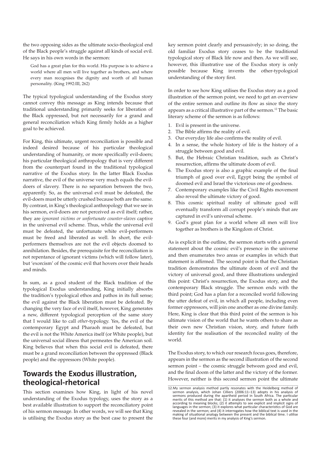the two opposing sides as the ultimate socio-theological end of the Black people's struggle against all kinds of social evil. He says in his own words in the sermon:

God has a great plan for this world. His purpose is to achieve a world where all men will live together as brothers, and where every man recognises the dignity and worth of all human personality. (King 1992:III, 262)

The typical typological understanding of the Exodus story cannot convey this message as King intends because that traditional understanding primarily seeks for liberation of the Black oppressed, but not necessarily for a grand and general reconciliation which King firmly holds as a higher goal to be achieved.

For King, this ultimate, urgent reconciliation is possible and indeed desired because of his particular theological understanding of humanity, or more specifically evil-doers; his particular theological anthropology that is very different from the counterpart found in the traditional typological narrative of the Exodus story. In the latter Black Exodus narrative, the evil of the universe very much equals the evildoers of slavery. There is no separation between the two, apparently. So, as the universal evil must be defeated, the evil-doers must be utterly crushed because both are the same. By contrast, in King's theological anthropology that we see in his sermon, evil-doers are not perceived as evil itself; rather, they are *ignorant victims or unfortunate counter-slaves* captive in the universal evil scheme. Thus, while the universal evil must be defeated, the unfortunate white evil-performers must be freed and liberated as well. In short, the evilperformers themselves are not the evil objects doomed to annihilation. Besides, the prerequisite for the reconciliation is not repentance of ignorant victims (which will follow later), but 'exorcism' of the cosmic evil that hovers over their heads and minds.

In sum, as a good student of the Black tradition of the typological Exodus understanding, King initially absorbs the tradition's typological ethos and pathos in its full sense; the evil against the Black liberation must be defeated. By changing the very face of evil itself, however, King generates a new, different typological perception of the same story that I would like to call *other*-typology. Yes, the evil of the contemporary Egypt and Pharaoh must be defeated, but the evil is not the White America itself (or White people), but the universal social illness that permeates the American soil. King believes that when this social evil is defeated, there must be a grand reconciliation between the oppressed (Black people) and the oppressors (White people).

### **Towards the Exodus illustration, theological-rhetorical**

This section examines how King, in light of his novel understanding of the Exodus typology, uses the story as a best available illustration to support the reconciliatory point of his sermon message. In other words, we will see that King is utilising the Exodus story as the best case to present the key sermon point clearly and persuasively; in so doing, the old familiar Exodus story ceases to be the traditional typological story of Black life now and then. As we will see, however, this illustrative use of the Exodus story is only possible because King invents the other-typological understanding of the story first.

In order to see how King utilises the Exodus story as a good illustration of the sermon point, we need to get an overview of the entire sermon and outline its flow as since the story appears as a critical illustrative part of the sermon.12 The basic literary scheme of the sermon is as follows:

- 1. Evil is present in the universe.
- 2. The Bible affirms the reality of evil.
- 3. Our everyday life also confirms the reality of evil.
- 4. In a sense, the whole history of life is the history of a struggle between good and evil.
- 5. But, the Hebraic Christian tradition, such as Christ's resurrection, affirms the ultimate doom of evil.
- 6. The Exodus story is also a graphic example of the final triumph of good over evil, Egypt being the symbol of doomed evil and Israel the victorious one of goodness.
- 7. Contemporary examples like the Civil Rights movement also reveal the ultimate victory of good.
- 8. This cosmic spiritual reality of ultimate good will eventually transform all corrupt people's minds that are captured in evil's universal scheme.
- 9. God's great plan for a world where all men will live together as brothers is the Kingdom of Christ.

As is explicit in the outline, the sermon starts with a general statement about the cosmic evil's presence in the universe and then enumerates two areas or examples in which that statement is affirmed. The second point is that the Christian tradition demonstrates the ultimate doom of evil and the victory of universal good, and three illustrations undergird this point: Christ's resurrection, the Exodus story, and the contemporary Black struggle. The sermon ends with the third point; God has a plan for a reconciled world following the utter defeat of evil, in which all people, including even former oppressors, will join one another as one divine family. Here, King is clear that this third point of the sermon is his ultimate vision of the world that he wants others to share as their own new Christian vision, story, and future faith identity for the realisation of the reconciled reality of the world.

The Exodus story, to which our research focus goes, therefore, appears in the sermon as the second illustration of the second sermon point – the cosmic struggle between good and evil, and the final doom of the latter and the victory of the former. However, neither is this second sermon point the ultimate

<sup>12.</sup> My sermon analysis method partly resonates with the Heidelberg method of sermon analysis, which Johan Cilliers (2006:11-13) adopts in his analysis of sermons produced during the apartheid period in South Africa. The p according to meaning blocks; (2) it attempts to see explicit and implicit signs of languages in the sermon; (3) it explores what particular characteristics of God are revealed in the sermon; and (4) it interrogates how the biblical text is used in the making of situational analogy between the present and the biblical time. I utilise these four (and more) merits in my analysis of King's sermon.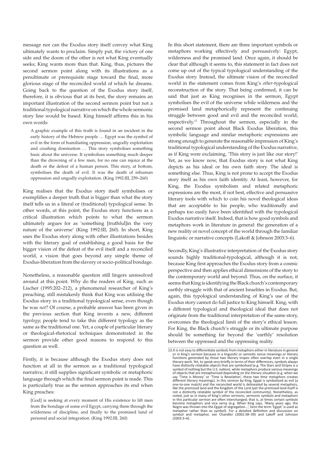message nor can the Exodus story itself convey what King ultimately wants to proclaim. Simply put, the victory of one side and the doom of the other is not what King eventually seeks; King wants more than that. King, thus, pictures the second sermon point along with its illustrations as a penultimate or prerequisite stage toward the final, more glorious stage of the reconciled world of which he dreams. Going back to the question of the Exodus story itself, therefore, it is obvious that at its best, the story remains an important illustration of the second sermon point but not a traditional typological narrative on which the whole sermonic story line would be based. King himself affirms this in his own words:

A graphic example of this truth is found in an incident in the early history of the Hebrew people … Egypt was the symbol of evil in the form of humiliating oppression, ungodly exploitation and crushing domination … This story symbolises something basic about the universe. It symbolises something much deeper than the drowning of a few men, for no one can rejoice at the death or the defeat of a human person. This story, at bottom, symbolises the death of evil. It was the death of inhuman oppression and ungodly exploitation. (King 1992:III, 259–260)

King realises that the Exodus story itself symbolises or exemplifies a deeper truth that is bigger than what the story itself tells us in a literal or (traditional) typological sense. In other words, at this point, the Exodus story functions as a critical illustration which points to what the sermon ultimately argues for as 'something [truthful]in the very nature of the universe' (King 1992:III, 260). In short, King uses the Exodus story along with other illustrations besides with the literary goal of establishing a good basis for the bigger vision of the defeat of the evil itself and a reconciled world, a vision that goes beyond any simple theme of Exodus-liberation from the slavery or socio-political bondage.

Nonetheless, a reasonable question still lingers unresolved around at this point. Why do the readers of King, such as Lischer (1995:202–212), a phenomenal researcher of King's preaching, still mistakenly think that King was utilising the Exodus story in a traditional typological sense, even though he was *not*? Of course, a probable answer has been given in the previous section that King invents a new, different *typology*; people tend to take this different typology as the same as the traditional one. Yet, a couple of particular literary or theological-rhetorical techniques demonstrated in the sermon provide other good reasons to respond to this question as well.

Firstly, it is because although the Exodus story does not function at all in the sermon as a traditional typological narrative, it still supplies significant symbolic or metaphoric language through which the final sermon point is made. This is particularly true as the sermon approaches its end when King preaches:

In this short statement, there are three important symbols or metaphors working effectively and persuasively: Egypt, wilderness and the promised land. Once again, it should be clear that although it seems to, this statement in fact does not come up out of the typical typological understanding of the Exodus story. Instead, the ultimate vision of the reconciled world in the statement comes from King's *other-*typological reconstruction of the story. That being confirmed, it can be said that just as King recognises in the sermon, Egypt symbolises the evil of the universe while wilderness and the promised land metaphorically represent the continuing struggle between good and evil and the reconciled world, respectively.13 Throughout the sermon, especially in the second sermon point about Black Exodus liberation, this symbolic language and similar metaphoric expressions are strong enough to generate the reasonable impression of King's traditional typological understanding of the Exodus narrative, as if King were exclaiming, 'This story is just like our story!' Yet, as we know now, that Exodus story is not what King depicts as his ideal or his own faith story. The ideal is something else. Thus, King is not prone to accept the Exodus story itself as his own faith identity. At least, however, for King, the Exodus symbolism and related metaphoric expressions are the most, if not best, effective and persuasive literary tools with which to coin his novel theological ideas that are acceptable to his people, who traditionally and perhaps too easily have been identified with the typological Exodus narrative itself. Indeed, that is how good symbols and metaphors work in literature in general: the generation of a new reality or novel concept of the world through the familiar linguistic or narrative concepts (Lakoff & Johnson 2003:3–6).

Secondly, King's illustrative interpretation of the Exodus story sounds highly traditional-typological, although it is not, because King first approaches the Exodus story from a cosmic perspective and then applies ethical dimensions of the story to the contemporary world and beyond. Thus, on the surface, it seems that King is identifying the Black church's contemporary earthly struggle with that of ancient Israelites in Exodus. But, again, this typological understanding of King's use of the Exodus story cannot do full justice to King himself. King, with a different typological and theological ideal that does not originate from the traditional interpretation of the same story, overcomes the theological limit of the story's ethical lesson. For King, the Black church's struggle or its ultimate purpose should be something far beyond the 'earthly' resolution between the oppressed and the oppressing reality.

<sup>[</sup>God] is seeking at every moment of His existence to lift men from the bondage of some evil Egypt, carrying them through the wilderness of discipline, and finally to the promised land of personal and social integration. (King 1992:III, 260)

<sup>13.</sup>It is not easy to differentiate symbols from metaphors either in literature in general or in King's sermon because in a linguistic or semiotic sense meanings or literary functions generated by those two literary tropes often overlap even in a single literary work. Yet, to speak very briefly in terms of their differences, symbols always have distinctly relatable objects that are symbolised (e.g. The Stars and Stripes is a symbol of nothing but the U.S. nation), while metaphors produce various meanings of objects that are metaphorised depending on the literary situation (e.g. when we say 'Time is Money' or 'Time is Revelation', these two time metaphors creates different literary meanings). In this sermon by King, Egypt is symbolised as evil (a one-to-one match) and the reconciled world is delineated by several metaphors, like the promised land and the Kingdom of the Lord (yet the promised land itself is not a distinctly relatable symbol of the reconciled community). Nonetheless, as noted, just as in many of King's other sermons, sermonic symbols and metaphors in this particular sermon are often interchanged; that is, at times certain symbols become metaphors and vice versa (e.g. When King says, 'Many years ago, the<br>Negro was thrown into the Egypt of segregation...', here the term 'Egypt' is used as<br>metaphor rather than as symbol). For a detailed definition and symbol and metaphor, see Chandler (2002:38–39) and Lakoff and Johnson  $(2003.3 - 6)$